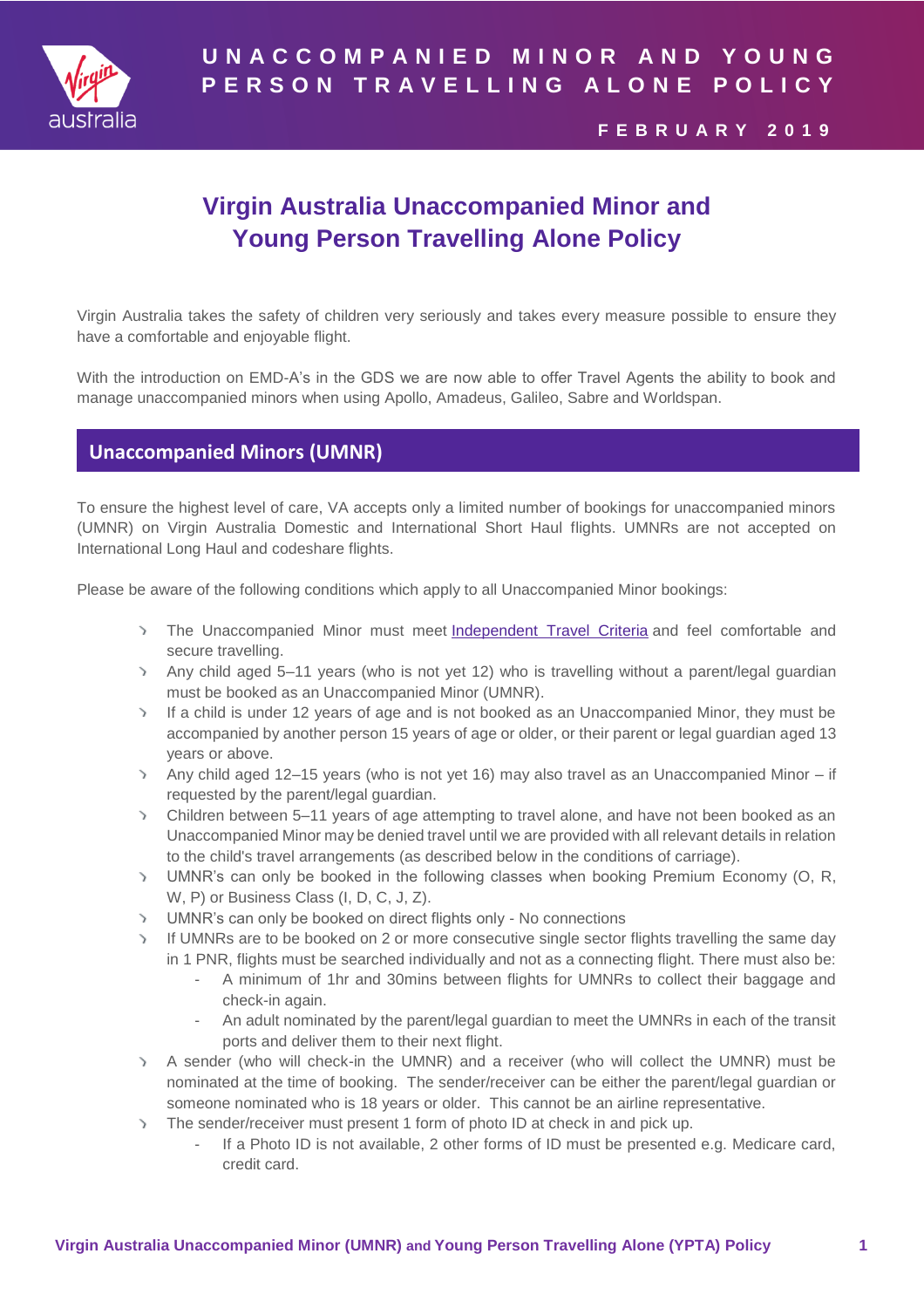

# **U N A C C O M P A N I E D M I N O R A N D Y O U N G P E R S O N T R A V E L L I N G A L O N E P O L I C Y**

### **F E B R U A R Y 2 0 1 9**

# **Virgin Australia Unaccompanied Minor and Young Person Travelling Alone Policy**

Virgin Australia takes the safety of children very seriously and takes every measure possible to ensure they have a comfortable and enjoyable flight.

With the introduction on EMD-A's in the GDS we are now able to offer Travel Agents the ability to book and manage unaccompanied minors when using Apollo, Amadeus, Galileo, Sabre and Worldspan.

## **Unaccompanied Minors (UMNR)**

To ensure the highest level of care, VA accepts only a limited number of bookings for unaccompanied minors (UMNR) on Virgin Australia Domestic and International Short Haul flights. UMNRs are not accepted on International Long Haul and codeshare flights.

Please be aware of the following conditions which apply to all Unaccompanied Minor bookings:

- The Unaccompanied Minor must meet [Independent Travel Criteria](https://sharepoint.virginaustralia.com/va/gcc/Pages/Other-special-assistance-information.aspx) and feel comfortable and secure travelling.
- Any child aged 5–11 years (who is not yet 12) who is travelling without a parent/legal guardian must be booked as an Unaccompanied Minor (UMNR).
- If a child is under 12 years of age and is not booked as an Unaccompanied Minor, they must be accompanied by another person 15 years of age or older, or their parent or legal guardian aged 13 years or above.
- Any child aged 12–15 years (who is not yet 16) may also travel as an Unaccompanied Minor if requested by the parent/legal guardian.
- Children between 5–11 years of age attempting to travel alone, and have not been booked as an Unaccompanied Minor may be denied travel until we are provided with all relevant details in relation to the child's travel arrangements (as described below in the conditions of carriage).
- UMNR's can only be booked in the following classes when booking Premium Economy (O, R, W, P) or Business Class (I, D, C, J, Z).
- UMNR's can only be booked on direct flights only No connections
- If UMNRs are to be booked on 2 or more consecutive single sector flights travelling the same day in 1 PNR, flights must be searched individually and not as a connecting flight. There must also be:
	- A minimum of 1hr and 30mins between flights for UMNRs to collect their baggage and check-in again.
	- An adult nominated by the parent/legal guardian to meet the UMNRs in each of the transit ports and deliver them to their next flight.
- A sender (who will check-in the UMNR) and a receiver (who will collect the UMNR) must be nominated at the time of booking. The sender/receiver can be either the parent/legal guardian or someone nominated who is 18 years or older. This cannot be an airline representative.
- The sender/receiver must present 1 form of photo ID at check in and pick up.
	- If a Photo ID is not available, 2 other forms of ID must be presented e.g. Medicare card, credit card.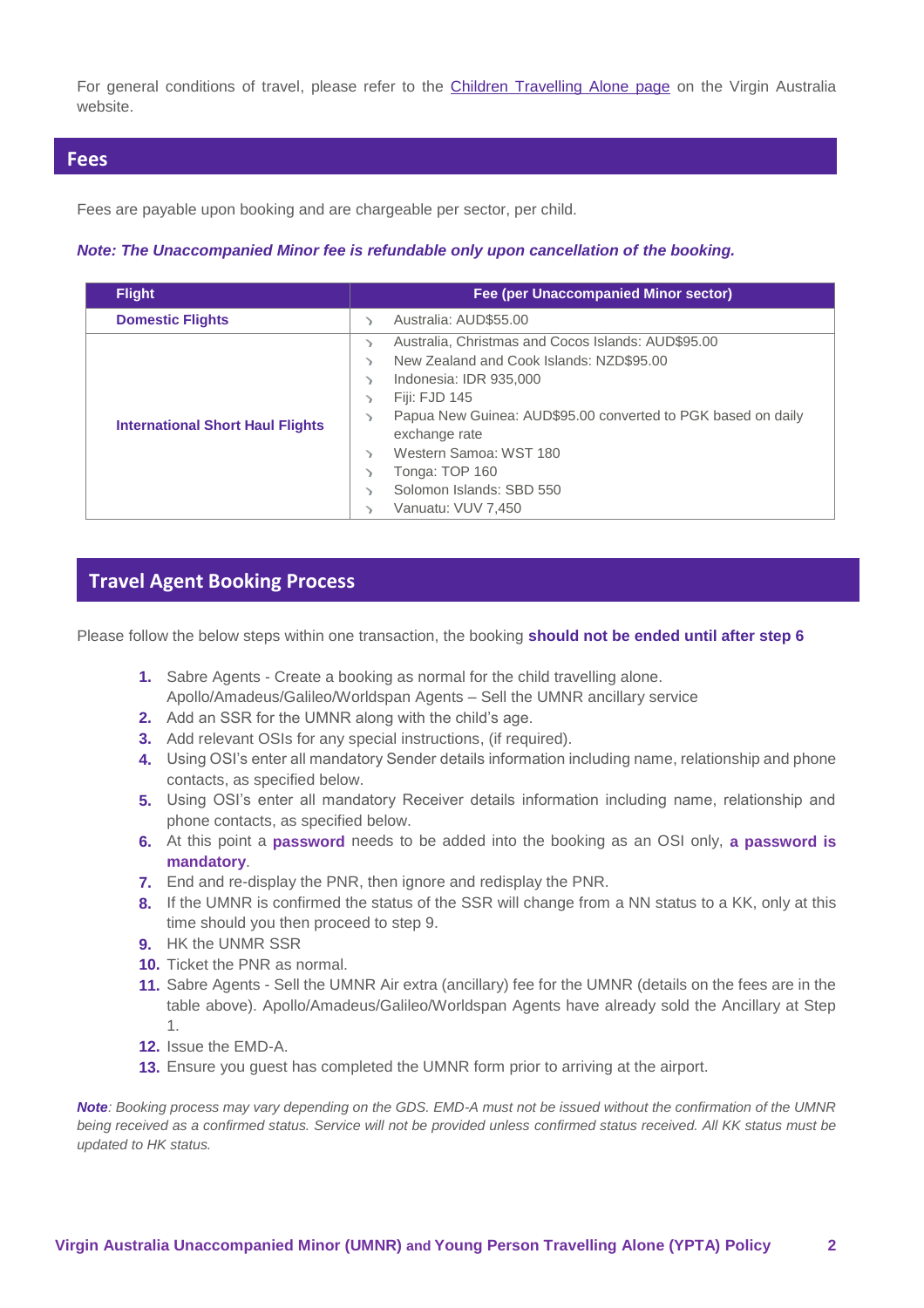For general conditions of travel, please refer to the [Children Travelling Alone page](https://www.virginaustralia.com/au/en/plan/specific-needs-assistance/children-travelling-alone/) on the Virgin Australia website.

### **Fees**

Fees are payable upon booking and are chargeable per sector, per child.

#### *Note: The Unaccompanied Minor fee is refundable only upon cancellation of the booking.*

| <b>Flight</b>                           | Fee (per Unaccompanied Minor sector)                                                                                                                                                                                                                                                                                          |
|-----------------------------------------|-------------------------------------------------------------------------------------------------------------------------------------------------------------------------------------------------------------------------------------------------------------------------------------------------------------------------------|
| <b>Domestic Flights</b>                 | Australia: AUD\$55.00                                                                                                                                                                                                                                                                                                         |
| <b>International Short Haul Flights</b> | Australia, Christmas and Cocos Islands: AUD\$95.00<br>><br>New Zealand and Cook Islands: NZD\$95.00<br>Indonesia: IDR 935,000<br>Fiji: FJD 145<br>Papua New Guinea: AUD\$95.00 converted to PGK based on daily<br>exchange rate<br>Western Samoa: WST 180<br>Tonga: TOP 160<br>Solomon Islands: SBD 550<br>Vanuatu: VUV 7.450 |

## **Travel Agent Booking Process**

Please follow the below steps within one transaction, the booking **should not be ended until after step 6**

- **1.** Sabre Agents Create a booking as normal for the child travelling alone. Apollo/Amadeus/Galileo/Worldspan Agents – Sell the UMNR ancillary service
- **2.** Add an SSR for the UMNR along with the child's age.
- **3.** Add relevant OSIs for any special instructions, (if required).
- **4.** Using OSI's enter all mandatory Sender details information including name, relationship and phone contacts, as specified below.
- **5.** Using OSI's enter all mandatory Receiver details information including name, relationship and phone contacts, as specified below.
- **6.** At this point a **password** needs to be added into the booking as an OSI only, **a password is mandatory**.
- **7.** End and re-display the PNR, then ignore and redisplay the PNR.
- **8.** If the UMNR is confirmed the status of the SSR will change from a NN status to a KK, only at this time should you then proceed to step 9.
- **9.** HK the UNMR SSR
- **10.** Ticket the PNR as normal.
- **11.** Sabre Agents Sell the UMNR Air extra (ancillary) fee for the UMNR (details on the fees are in the table above). Apollo/Amadeus/Galileo/Worldspan Agents have already sold the Ancillary at Step 1.
- **12.** Issue the EMD-A.
- **13.** Ensure you guest has completed the UMNR form prior to arriving at the airport.

*Note: Booking process may vary depending on the GDS. EMD-A must not be issued without the confirmation of the UMNR being received as a confirmed status. Service will not be provided unless confirmed status received. All KK status must be updated to HK status.*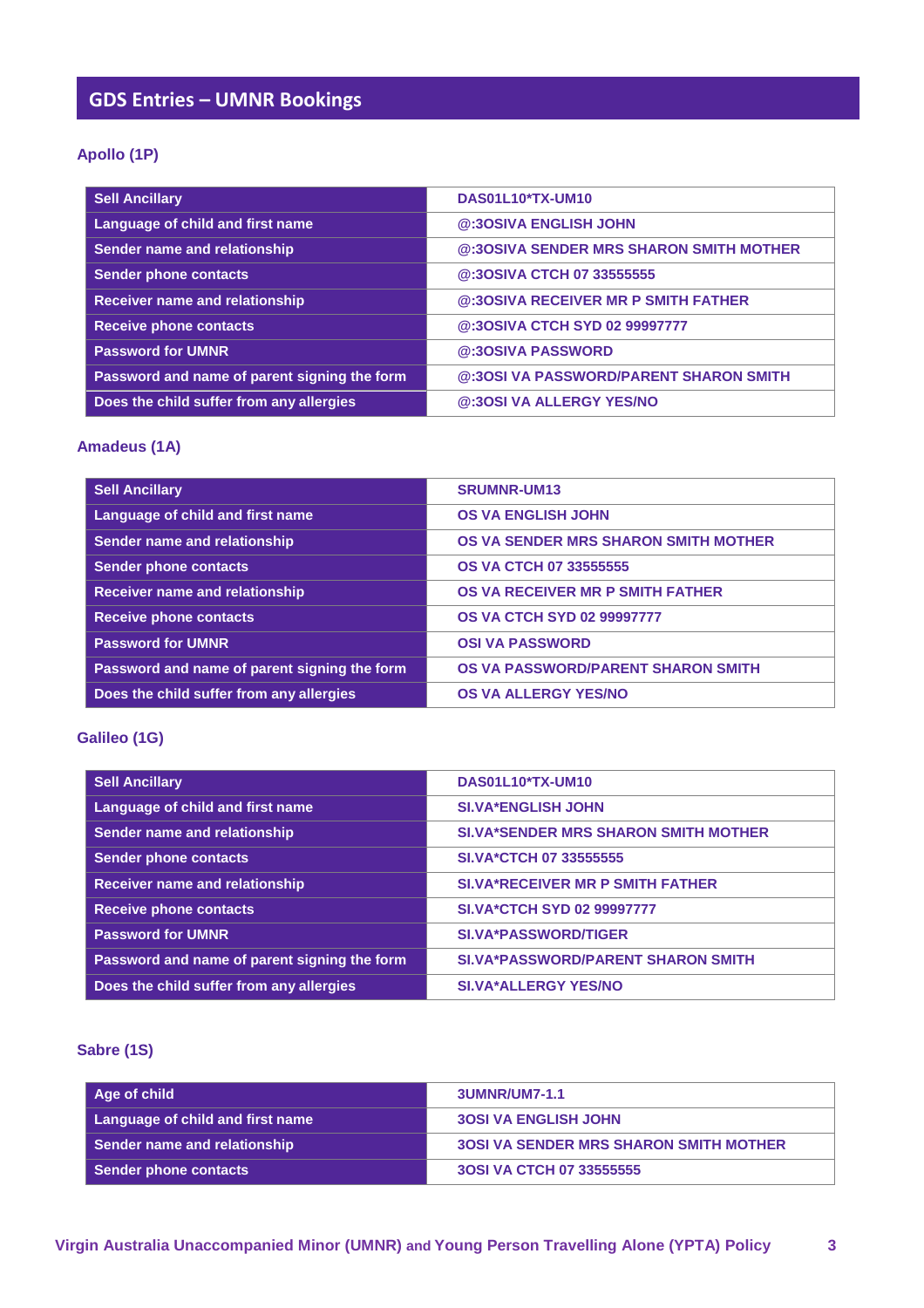# **GDS Entries – UMNR Bookings**

## **Apollo (1P)**

| <b>Sell Ancillary</b>                        | DAS01L10*TX-UM10                        |
|----------------------------------------------|-----------------------------------------|
| Language of child and first name             | @:30SIVA ENGLISH JOHN                   |
| Sender name and relationship                 | @:30SIVA SENDER MRS SHARON SMITH MOTHER |
| <b>Sender phone contacts</b>                 | @:30SIVA CTCH 07 33555555               |
| <b>Receiver name and relationship</b>        | @:30SIVA RECEIVER MR P SMITH FATHER     |
| <b>Receive phone contacts</b>                | @:30SIVA CTCH SYD 02 99997777           |
| <b>Password for UMNR</b>                     | @:30SIVA PASSWORD                       |
| Password and name of parent signing the form | @:30SI VA PASSWORD/PARENT SHARON SMITH  |
| Does the child suffer from any allergies     | @:30SI VA ALLERGY YES/NO                |

#### **Amadeus (1A)**

| <b>Sell Ancillary</b>                        | <b>SRUMNR-UM13</b>                   |
|----------------------------------------------|--------------------------------------|
| Language of child and first name             | <b>OS VA ENGLISH JOHN</b>            |
| Sender name and relationship                 | OS VA SENDER MRS SHARON SMITH MOTHER |
| <b>Sender phone contacts</b>                 | <b>OS VA CTCH 07 33555555</b>        |
| <b>Receiver name and relationship</b>        | OS VA RECEIVER MR P SMITH FATHER     |
| <b>Receive phone contacts</b>                | <b>OS VA CTCH SYD 02 99997777</b>    |
| <b>Password for UMNR</b>                     | <b>OSI VA PASSWORD</b>               |
| Password and name of parent signing the form | OS VA PASSWORD/PARENT SHARON SMITH   |
| Does the child suffer from any allergies     | <b>OS VA ALLERGY YES/NO</b>          |

#### **Galileo (1G)**

| <b>Sell Ancillary</b>                        | DAS01L10*TX-UM10                            |
|----------------------------------------------|---------------------------------------------|
| Language of child and first name             | <b>SI.VA*ENGLISH JOHN</b>                   |
| Sender name and relationship                 | <b>SI.VA*SENDER MRS SHARON SMITH MOTHER</b> |
| <b>Sender phone contacts</b>                 | <b>SI.VA*CTCH 07 33555555</b>               |
| <b>Receiver name and relationship</b>        | <b>SI.VA*RECEIVER MR P SMITH FATHER</b>     |
| <b>Receive phone contacts</b>                | <b>SI.VA*CTCH SYD 02 99997777</b>           |
| <b>Password for UMNR</b>                     | <b>SI.VA*PASSWORD/TIGER</b>                 |
| Password and name of parent signing the form | <b>SI.VA*PASSWORD/PARENT SHARON SMITH</b>   |
| Does the child suffer from any allergies     | <b>SI.VA*ALLERGY YES/NO</b>                 |

### **Sabre (1S)**

| Aqe of child                     | 3UMNR/UM7-1.1                                 |
|----------------------------------|-----------------------------------------------|
| Language of child and first name | <b>30SI VA ENGLISH JOHN</b>                   |
| Sender name and relationship     | <b>30SI VA SENDER MRS SHARON SMITH MOTHER</b> |
| Sender phone contacts            | 30SI VA CTCH 07 33555555                      |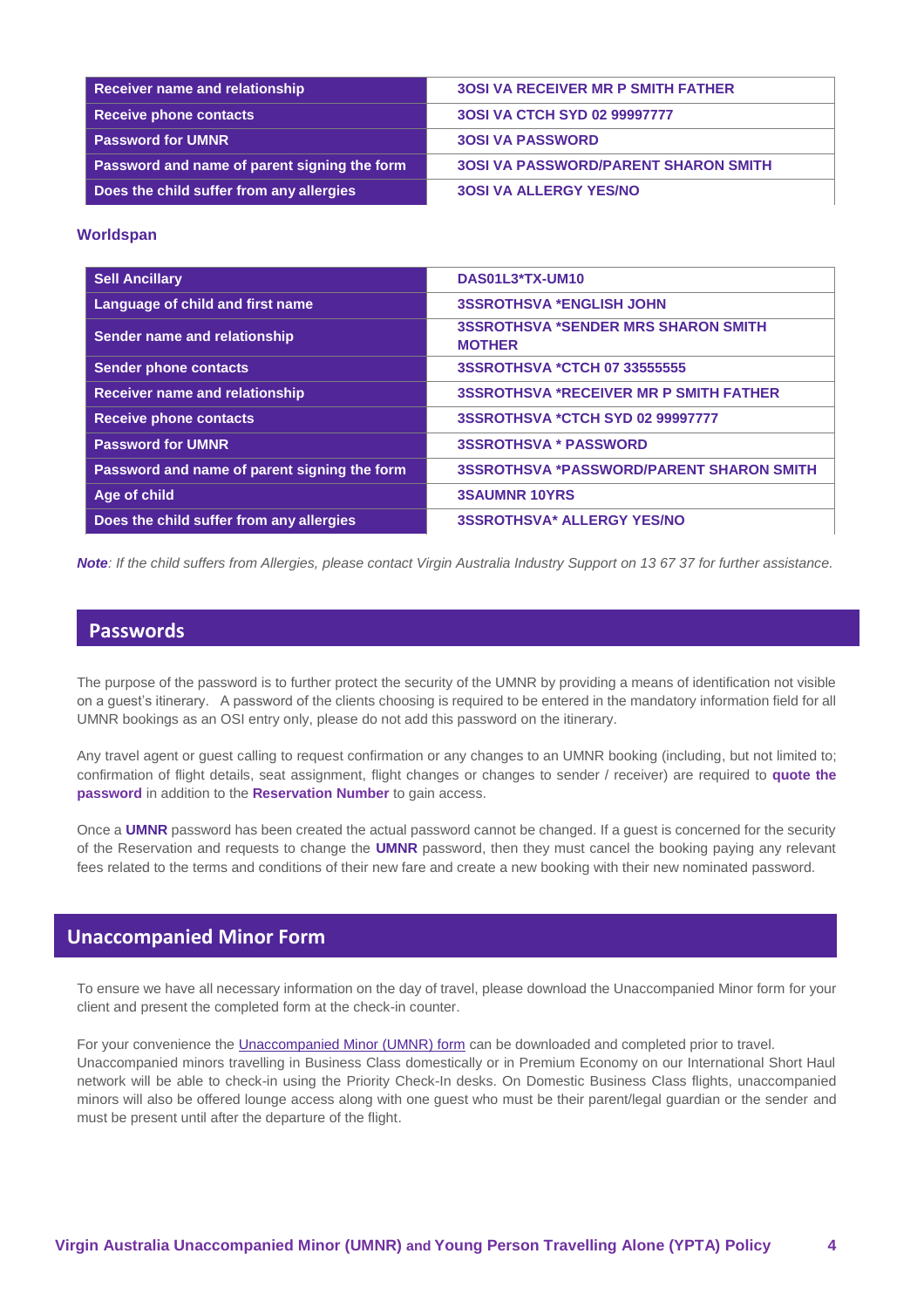| Receiver name and relationship                      | <b>30SI VA RECEIVER MR P SMITH FATHER</b>   |
|-----------------------------------------------------|---------------------------------------------|
| Receive phone contacts                              | 30SI VA CTCH SYD 02 99997777                |
| <b>Password for UMNR</b>                            | <b>30SI VA PASSWORD</b>                     |
| <b>Password and name of parent signing the form</b> | <b>30SI VA PASSWORD/PARENT SHARON SMITH</b> |
| Does the child suffer from any allergies            | <b>30SI VA ALLERGY YES/NO</b>               |

#### **Worldspan**

| <b>Sell Ancillary</b>                        | DAS01L3*TX-UM10                                             |
|----------------------------------------------|-------------------------------------------------------------|
| Language of child and first name             | <b>3SSROTHSVA *ENGLISH JOHN</b>                             |
| Sender name and relationship                 | <b>3SSROTHSVA *SENDER MRS SHARON SMITH</b><br><b>MOTHER</b> |
| <b>Sender phone contacts</b>                 | 3SSROTHSVA *CTCH 07 33555555                                |
| <b>Receiver name and relationship</b>        | <b>3SSROTHSVA *RECEIVER MR P SMITH FATHER</b>               |
| <b>Receive phone contacts</b>                | 3SSROTHSVA *CTCH SYD 02 99997777                            |
| <b>Password for UMNR</b>                     | <b>3SSROTHSVA * PASSWORD</b>                                |
| Password and name of parent signing the form | <b>3SSROTHSVA *PASSWORD/PARENT SHARON SMITH</b>             |
| Age of child                                 | <b>3SAUMNR 10YRS</b>                                        |
| Does the child suffer from any allergies     | <b>3SSROTHSVA* ALLERGY YES/NO</b>                           |

*Note: If the child suffers from Allergies, please contact Virgin Australia Industry Support on 13 67 37 for further assistance.*

### **Passwords**

The purpose of the password is to further protect the security of the UMNR by providing a means of identification not visible on a guest's itinerary. A password of the clients choosing is required to be entered in the mandatory information field for all UMNR bookings as an OSI entry only, please do not add this password on the itinerary.

Any travel agent or guest calling to request confirmation or any changes to an UMNR booking (including, but not limited to; confirmation of flight details, seat assignment, flight changes or changes to sender / receiver) are required to **quote the password** in addition to the **Reservation Number** to gain access.

Once a **UMNR** password has been created the actual password cannot be changed. If a guest is concerned for the security of the Reservation and requests to change the **UMNR** password, then they must cancel the booking paying any relevant fees related to the terms and conditions of their new fare and create a new booking with their new nominated password.

#### **Unaccompanied Minor Form**

To ensure we have all necessary information on the day of travel, please download the Unaccompanied Minor form for your client and present the completed form at the check-in counter.

For your convenience th[e Unaccompanied Minor \(UMNR\) form](http://www.virginaustralia.com/cs/groups/internetcontent/@wc/documents/webcontent/~edisp/umnr-formv5.pdf) can be downloaded and completed prior to travel. Unaccompanied minors travelling in Business Class domestically or in Premium Economy on our International Short Haul network will be able to check-in using the Priority Check-In desks. On Domestic Business Class flights, unaccompanied minors will also be offered lounge access along with one guest who must be their parent/legal guardian or the sender and must be present until after the departure of the flight.